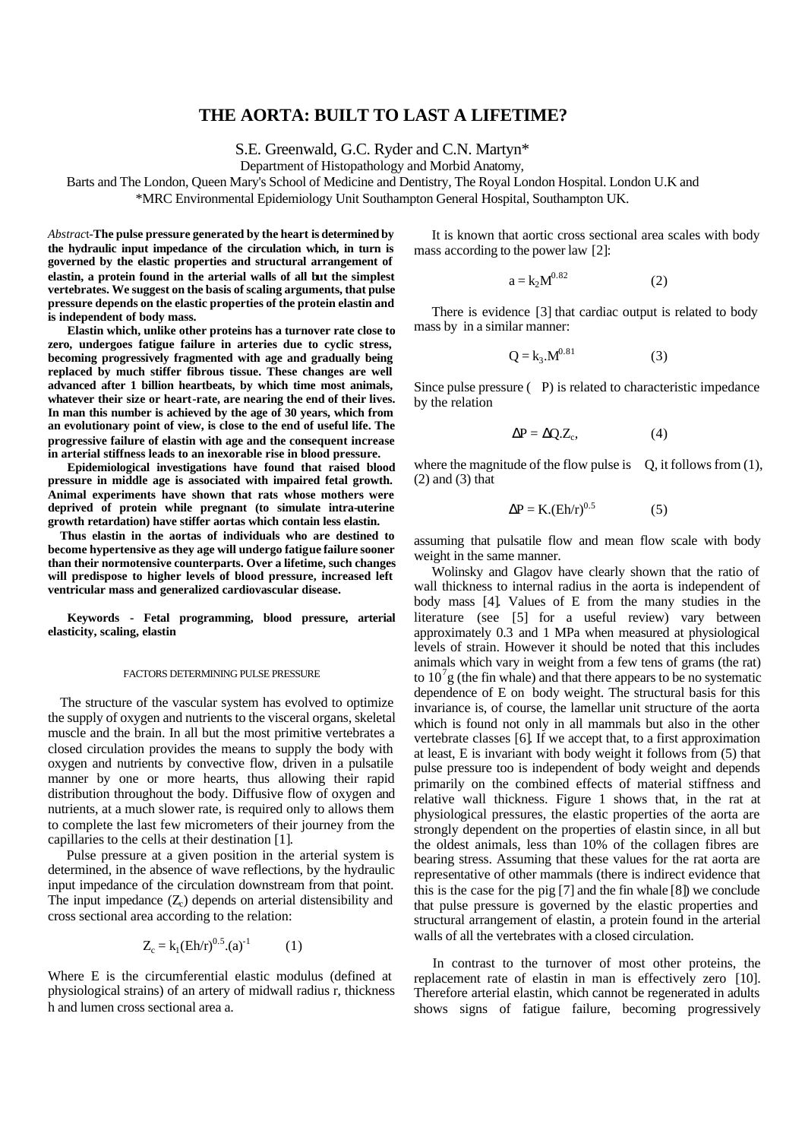# **THE AORTA: BUILT TO LAST A LIFETIME?**

S.E. Greenwald, G.C. Ryder and C.N. Martyn\*

Department of Histopathology and Morbid Anatomy,

Barts and The London, Queen Mary's School of Medicine and Dentistry, The Royal London Hospital. London U.K and

\*MRC Environmental Epidemiology Unit Southampton General Hospital, Southampton UK.

*Abstrac*t-**The pulse pressure generated by the heart is determined by the hydraulic input impedance of the circulation which, in turn is governed by the elastic properties and structural arrangement of elastin, a protein found in the arterial walls of all but the simplest vertebrates. We suggest on the basis of scaling arguments, that pulse pressure depends on the elastic properties of the protein elastin and is independent of body mass.**

**Elastin which, unlike other proteins has a turnover rate close to zero, undergoes fatigue failure in arteries due to cyclic stress, becoming progressively fragmented with age and gradually being replaced by much stiffer fibrous tissue. These changes are well advanced after 1 billion heartbeats, by which time most animals, whatever their size or heart-rate, are nearing the end of their lives. In man this number is achieved by the age of 30 years, which from an evolutionary point of view, is close to the end of useful life. The progressive failure of elastin with age and the consequent increase in arterial stiffness leads to an inexorable rise in blood pressure.**

**Epidemiological investigations have found that raised blood pressure in middle age is associated with impaired fetal growth. Animal experiments have shown that rats whose mothers were deprived of protein while pregnant (to simulate intra-uterine growth retardation) have stiffer aortas which contain less elastin.**

**Thus elastin in the aortas of individuals who are destined to become hypertensive as they age will undergo fatigue failure sooner than their normotensive counterparts. Over a lifetime, such changes will predispose to higher levels of blood pressure, increased left ventricular mass and generalized cardiovascular disease.**

**Keywords - Fetal programming, blood pressure, arterial elasticity, scaling, elastin**

## FACTORS DETERMINING PULSE PRESSURE

The structure of the vascular system has evolved to optimize the supply of oxygen and nutrients to the visceral organs, skeletal muscle and the brain. In all but the most primitive vertebrates a closed circulation provides the means to supply the body with oxygen and nutrients by convective flow, driven in a pulsatile manner by one or more hearts, thus allowing their rapid distribution throughout the body. Diffusive flow of oxygen and nutrients, at a much slower rate, is required only to allows them to complete the last few micrometers of their journey from the capillaries to the cells at their destination [1].

Pulse pressure at a given position in the arterial system is determined, in the absence of wave reflections, by the hydraulic input impedance of the circulation downstream from that point. The input impedance  $(Z_c)$  depends on arterial distensibility and cross sectional area according to the relation:

$$
Z_c = k_1 (Eh/r)^{0.5} . (a)^{-1}
$$
 (1)

Where E is the circumferential elastic modulus (defined at physiological strains) of an artery of midwall radius r, thickness h and lumen cross sectional area a.

It is known that aortic cross sectional area scales with body mass according to the power law [2]:

$$
a = k_2 M^{0.82} \tag{2}
$$

There is evidence [3] that cardiac output is related to body mass by in a similar manner:

$$
Q = k_3.M^{0.81}
$$
 (3)

Since pulse pressure  $($  P) is related to characteristic impedance by the relation

$$
\Delta P = \Delta Q.Z_c, \qquad (4)
$$

where the magnitude of the flow pulse is  $Q$ , it follows from (1),  $(2)$  and  $(3)$  that

$$
\Delta P = K.(Eh/r)^{0.5}
$$
 (5)

assuming that pulsatile flow and mean flow scale with body weight in the same manner.

Wolinsky and Glagov have clearly shown that the ratio of wall thickness to internal radius in the aorta is independent of body mass [4]. Values of E from the many studies in the literature (see [5] for a useful review) vary between approximately 0.3 and 1 MPa when measured at physiological levels of strain. However it should be noted that this includes animals which vary in weight from a few tens of grams (the rat) to  $10<sup>7</sup>$ g (the fin whale) and that there appears to be no systematic dependence of E on body weight. The structural basis for this invariance is, of course, the lamellar unit structure of the aorta which is found not only in all mammals but also in the other vertebrate classes [6]. If we accept that, to a first approximation at least, E is invariant with body weight it follows from (5) that pulse pressure too is independent of body weight and depends primarily on the combined effects of material stiffness and relative wall thickness. Figure 1 shows that, in the rat at physiological pressures, the elastic properties of the aorta are strongly dependent on the properties of elastin since, in all but the oldest animals, less than 10% of the collagen fibres are bearing stress. Assuming that these values for the rat aorta are representative of other mammals (there is indirect evidence that this is the case for the pig [7] and the fin whale [8]) we conclude that pulse pressure is governed by the elastic properties and structural arrangement of elastin, a protein found in the arterial walls of all the vertebrates with a closed circulation.

In contrast to the turnover of most other proteins, the replacement rate of elastin in man is effectively zero [10]. Therefore arterial elastin, which cannot be regenerated in adults shows signs of fatigue failure, becoming progressively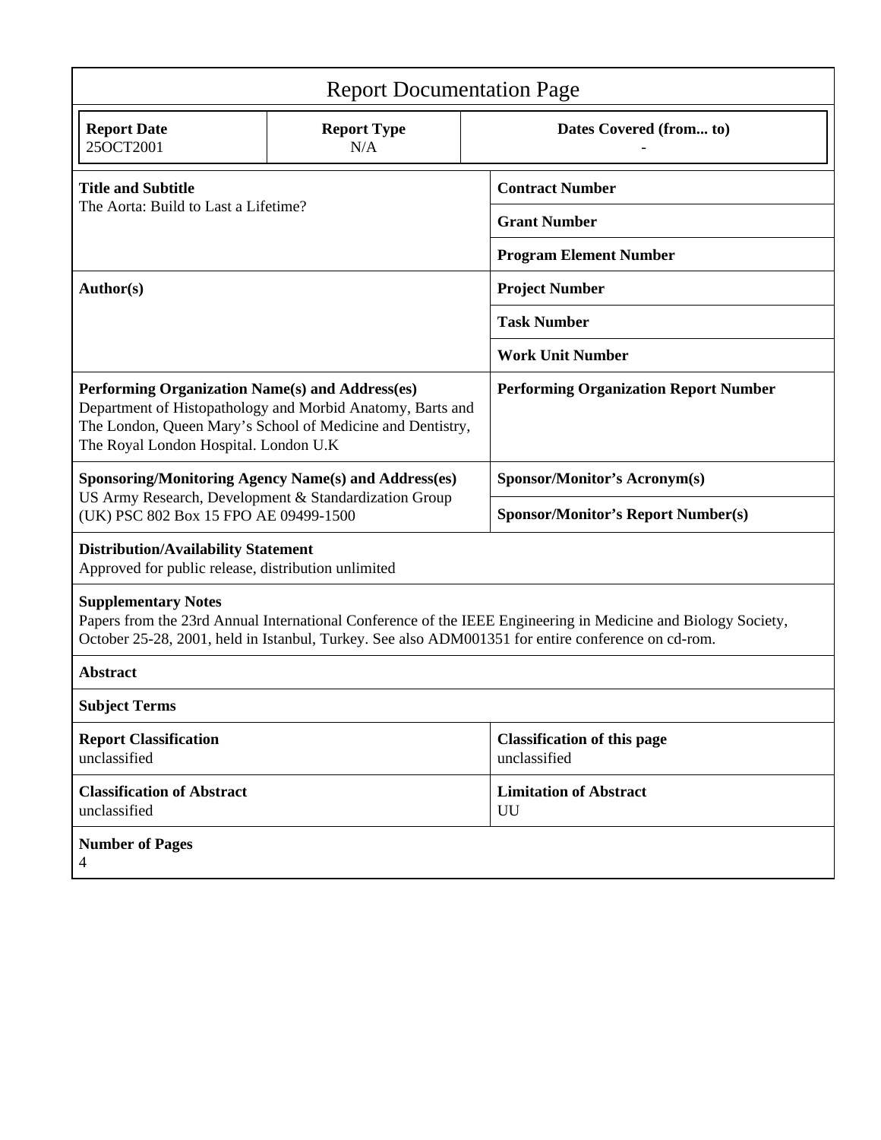| <b>Report Documentation Page</b>                                                                                                                                                                                                                  |                           |  |                                                    |  |  |  |
|---------------------------------------------------------------------------------------------------------------------------------------------------------------------------------------------------------------------------------------------------|---------------------------|--|----------------------------------------------------|--|--|--|
| <b>Report Date</b><br>25OCT2001                                                                                                                                                                                                                   | <b>Report Type</b><br>N/A |  | Dates Covered (from to)                            |  |  |  |
| <b>Title and Subtitle</b><br>The Aorta: Build to Last a Lifetime?                                                                                                                                                                                 |                           |  | <b>Contract Number</b>                             |  |  |  |
|                                                                                                                                                                                                                                                   |                           |  | <b>Grant Number</b>                                |  |  |  |
|                                                                                                                                                                                                                                                   |                           |  | <b>Program Element Number</b>                      |  |  |  |
| Author(s)                                                                                                                                                                                                                                         |                           |  | <b>Project Number</b>                              |  |  |  |
|                                                                                                                                                                                                                                                   |                           |  | <b>Task Number</b>                                 |  |  |  |
|                                                                                                                                                                                                                                                   |                           |  | <b>Work Unit Number</b>                            |  |  |  |
| Performing Organization Name(s) and Address(es)<br>Department of Histopathology and Morbid Anatomy, Barts and<br>The London, Queen Mary's School of Medicine and Dentistry,<br>The Royal London Hospital. London U.K                              |                           |  | <b>Performing Organization Report Number</b>       |  |  |  |
| <b>Sponsoring/Monitoring Agency Name(s) and Address(es)</b><br>US Army Research, Development & Standardization Group<br>(UK) PSC 802 Box 15 FPO AE 09499-1500                                                                                     |                           |  | <b>Sponsor/Monitor's Acronym(s)</b>                |  |  |  |
|                                                                                                                                                                                                                                                   |                           |  | <b>Sponsor/Monitor's Report Number(s)</b>          |  |  |  |
| <b>Distribution/Availability Statement</b><br>Approved for public release, distribution unlimited                                                                                                                                                 |                           |  |                                                    |  |  |  |
| <b>Supplementary Notes</b><br>Papers from the 23rd Annual International Conference of the IEEE Engineering in Medicine and Biology Society,<br>October 25-28, 2001, held in Istanbul, Turkey. See also ADM001351 for entire conference on cd-rom. |                           |  |                                                    |  |  |  |
| <b>Abstract</b>                                                                                                                                                                                                                                   |                           |  |                                                    |  |  |  |
| <b>Subject Terms</b>                                                                                                                                                                                                                              |                           |  |                                                    |  |  |  |
| <b>Report Classification</b><br>unclassified                                                                                                                                                                                                      |                           |  | <b>Classification of this page</b><br>unclassified |  |  |  |
| <b>Classification of Abstract</b><br>unclassified                                                                                                                                                                                                 |                           |  | <b>Limitation of Abstract</b><br>UU                |  |  |  |
| <b>Number of Pages</b><br>$\overline{4}$                                                                                                                                                                                                          |                           |  |                                                    |  |  |  |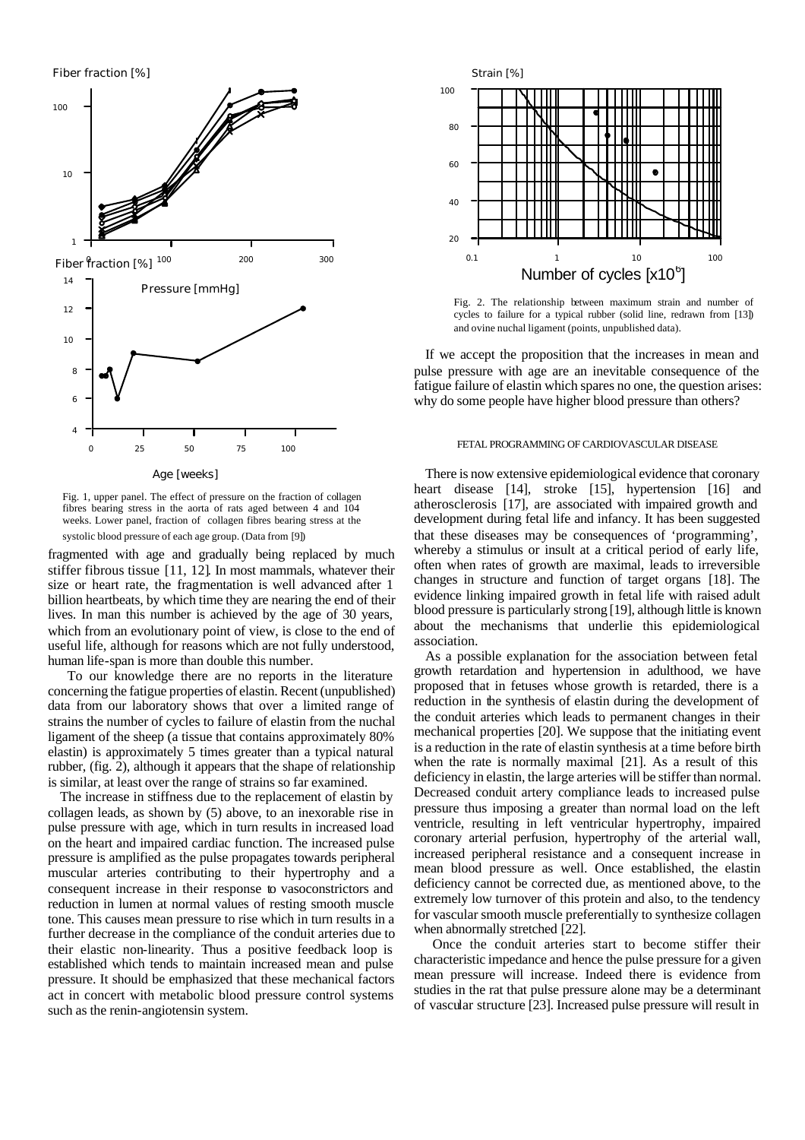

Age [weeks]

Fig. 1, upper panel. The effect of pressure on the fraction of collagen fibres bearing stress in the aorta of rats aged between 4 and 104 weeks. Lower panel, fraction of collagen fibres bearing stress at the systolic blood pressure of each age group. (Data from [9])

fragmented with age and gradually being replaced by much stiffer fibrous tissue [11, 12]. In most mammals, whatever their size or heart rate, the fragmentation is well advanced after 1 billion heartbeats, by which time they are nearing the end of their lives. In man this number is achieved by the age of 30 years, which from an evolutionary point of view, is close to the end of useful life, although for reasons which are not fully understood, human life-span is more than double this number.

To our knowledge there are no reports in the literature concerning the fatigue properties of elastin. Recent (unpublished) data from our laboratory shows that over a limited range of strains the number of cycles to failure of elastin from the nuchal ligament of the sheep (a tissue that contains approximately 80% elastin) is approximately 5 times greater than a typical natural rubber, (fig. 2), although it appears that the shape of relationship is similar, at least over the range of strains so far examined.

The increase in stiffness due to the replacement of elastin by collagen leads, as shown by (5) above, to an inexorable rise in pulse pressure with age, which in turn results in increased load on the heart and impaired cardiac function. The increased pulse pressure is amplified as the pulse propagates towards peripheral muscular arteries contributing to their hypertrophy and a consequent increase in their response to vasoconstrictors and reduction in lumen at normal values of resting smooth muscle tone. This causes mean pressure to rise which in turn results in a further decrease in the compliance of the conduit arteries due to their elastic non-linearity. Thus a positive feedback loop is established which tends to maintain increased mean and pulse pressure. It should be emphasized that these mechanical factors act in concert with metabolic blood pressure control systems such as the renin-angiotensin system.



Fig. 2. The relationship between maximum strain and number of cycles to failure for a typical rubber (solid line, redrawn from [13]) and ovine nuchal ligament (points, unpublished data).

If we accept the proposition that the increases in mean and pulse pressure with age are an inevitable consequence of the fatigue failure of elastin which spares no one, the question arises: why do some people have higher blood pressure than others?

#### FETAL PROGRAMMING OF CARDIOVASCULAR DISEASE

There is now extensive epidemiological evidence that coronary heart disease [14], stroke [15], hypertension [16] and atherosclerosis [17], are associated with impaired growth and development during fetal life and infancy. It has been suggested that these diseases may be consequences of 'programming', whereby a stimulus or insult at a critical period of early life, often when rates of growth are maximal, leads to irreversible changes in structure and function of target organs [18]. The evidence linking impaired growth in fetal life with raised adult blood pressure is particularly strong [19], although little is known about the mechanisms that underlie this epidemiological association.

As a possible explanation for the association between fetal growth retardation and hypertension in adulthood, we have proposed that in fetuses whose growth is retarded, there is a reduction in the synthesis of elastin during the development of the conduit arteries which leads to permanent changes in their mechanical properties [20]. We suppose that the initiating event is a reduction in the rate of elastin synthesis at a time before birth when the rate is normally maximal [21]. As a result of this deficiency in elastin, the large arteries will be stiffer than normal. Decreased conduit artery compliance leads to increased pulse pressure thus imposing a greater than normal load on the left ventricle, resulting in left ventricular hypertrophy, impaired coronary arterial perfusion, hypertrophy of the arterial wall, increased peripheral resistance and a consequent increase in mean blood pressure as well. Once established, the elastin deficiency cannot be corrected due, as mentioned above, to the extremely low turnover of this protein and also, to the tendency for vascular smooth muscle preferentially to synthesize collagen when abnormally stretched [22].

Once the conduit arteries start to become stiffer their characteristic impedance and hence the pulse pressure for a given mean pressure will increase. Indeed there is evidence from studies in the rat that pulse pressure alone may be a determinant of vascular structure [23]. Increased pulse pressure will result in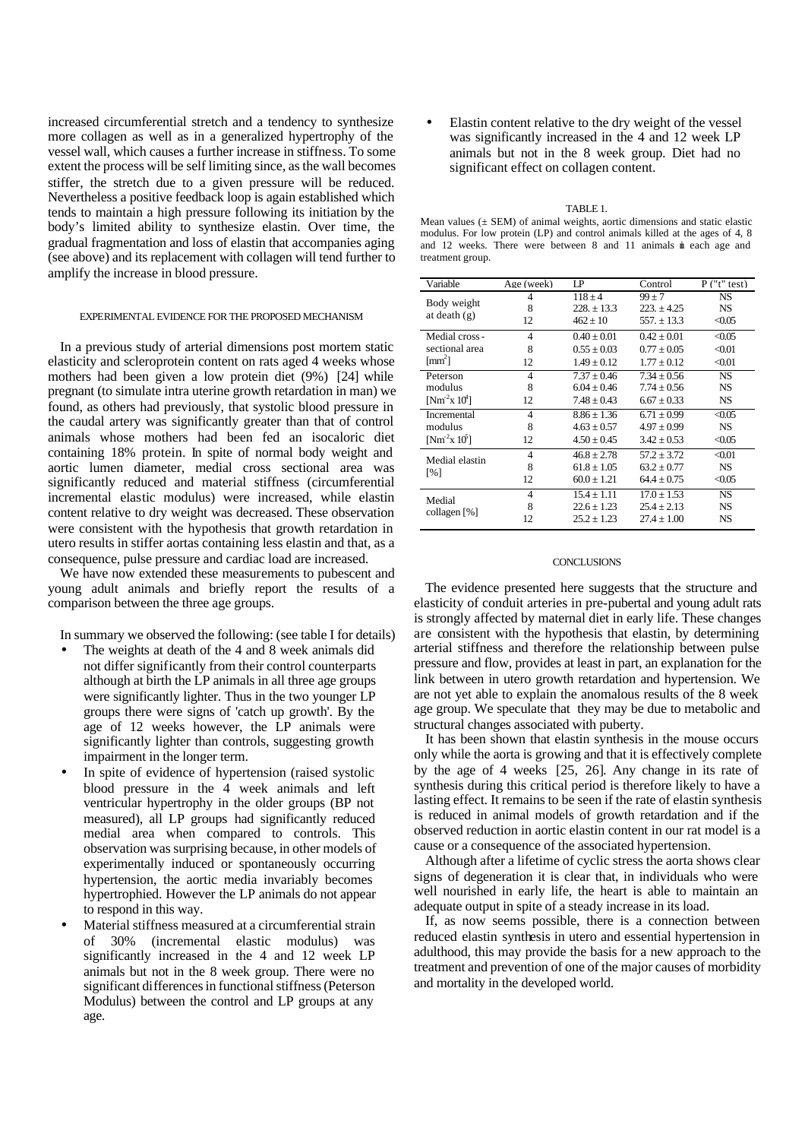increased circumferential stretch and a tendency to synthesize more collagen as well as in a generalized hypertrophy of the vessel wall, which causes a further increase in stiffness. To some extent the process will be self limiting since, as the wall becomes stiffer, the stretch due to a given pressure will be reduced. Nevertheless a positive feedback loop is again established which tends to maintain a high pressure following its initiation by the body's limited ability to synthesize elastin. Over time, the gradual fragmentation and loss of elastin that accompanies aging (see above) and its replacement with collagen will tend further to amplify the increase in blood pressure.

### EXPERIMENTAL EVIDENCE FOR THE PROPOSED MECHANISM

In a previous study of arterial dimensions post mortem static elasticity and scleroprotein content on rats aged 4 weeks whose mothers had been given a low protein diet (9%) [24] while pregnant (to simulate intra uterine growth retardation in man) we found, as others had previously, that systolic blood pressure in the caudal artery was significantly greater than that of control animals whose mothers had been fed an isocaloric diet containing 18% protein. In spite of normal body weight and aortic lumen diameter, medial cross sectional area was significantly reduced and material stiffness (circumferential incremental elastic modulus) were increased, while elastin content relative to dry weight was decreased. These observation were consistent with the hypothesis that growth retardation in utero results in stiffer aortas containing less elastin and that, as a consequence, pulse pressure and cardiac load are increased.

We have now extended these measurements to pubescent and young adult animals and briefly report the results of a comparison between the three age groups.

In summary we observed the following: (see table I for details)

- The weights at death of the 4 and 8 week animals did not differ significantly from their control counterparts although at birth the LP animals in all three age groups were significantly lighter. Thus in the two younger LP groups there were signs of 'catch up growth'. By the age of 12 weeks however, the LP animals were significantly lighter than controls, suggesting growth impairment in the longer term.
- In spite of evidence of hypertension (raised systolic blood pressure in the 4 week animals and left ventricular hypertrophy in the older groups (BP not measured), all LP groups had significantly reduced medial area when compared to controls. This observation was surprising because, in other models of experimentally induced or spontaneously occurring hypertension, the aortic media invariably becomes hypertrophied. However the LP animals do not appear to respond in this way.
- Material stiffness measured at a circumferential strain of 30% (incremental elastic modulus) was significantly increased in the 4 and 12 week LP animals but not in the 8 week group. There were no significant differences in functional stiffness (Peterson Modulus) between the control and LP groups at any age.

Elastin content relative to the dry weight of the vessel was significantly increased in the 4 and 12 week LP animals but not in the 8 week group. Diet had no significant effect on collagen content.

#### TABLE 1.

Mean values ( $\pm$  SEM) of animal weights, aortic dimensions and static elastic modulus. For low protein (LP) and control animals killed at the ages of 4, 8 and 12 weeks. There were between 8 and 11 animals in each age and treatment group.

| Variable                                                       | Age (week) | IΡ              | Control         | P('t' test) |
|----------------------------------------------------------------|------------|-----------------|-----------------|-------------|
| Body weight<br>at death $(g)$                                  | 4          | $118 + 4$       | $99 + 7$        | NS.         |
|                                                                | 8          | $228 + 13.3$    | $223 + 4.25$    | NS          |
|                                                                | 12         | $462 + 10$      | $557. \pm 13.3$ | <0.05       |
| Medial cross -                                                 | 4          | $0.40 \pm 0.01$ | $0.42 + 0.01$   | <0.05       |
| sectional area<br>$\text{[mm}^2$                               | 8          | $0.55 + 0.03$   | $0.77 + 0.05$   | $0.01$      |
|                                                                | 12         | $1.49 + 0.12$   | $1.77 + 0.12$   | $0.01$      |
| Peterson<br>modulus<br>$[Nm^2x 10^4]$                          | 4          | $7.37 + 0.46$   | $7.34 + 0.56$   | <b>NS</b>   |
|                                                                | 8          | $6.04 \pm 0.46$ | $7.74 \pm 0.56$ | NS          |
|                                                                | 12         | $7.48 \pm 0.43$ | $6.67 \pm 0.33$ | NS          |
| Incremental<br>modulus<br>[Nm <sup>2</sup> x 10 <sup>5</sup> ] | 4          | $8.86 \pm 1.36$ | $6.71 + 0.99$   | <0.05       |
|                                                                | 8          | $4.63 \pm 0.57$ | $4.97 \pm 0.99$ | <b>NS</b>   |
|                                                                | 12         | $4.50 + 0.45$   | $3.42 + 0.53$   | <0.05       |
| Medial elastin<br>[%]                                          | 4          | $46.8 + 2.78$   | $57.2 + 3.72$   | < 0.01      |
|                                                                | 8          | $61.8 + 1.05$   | $63.2 + 0.77$   | NS.         |
|                                                                | 12         | $60.0 \pm 1.21$ | $64.4 \pm 0.75$ | <0.05       |
| Medial<br>collagen [%]                                         | 4          | $15.4 + 1.11$   | $17.0 \pm 1.53$ | <b>NS</b>   |
|                                                                | 8          | $22.6 \pm 1.23$ | $25.4 \pm 2.13$ | NS          |
|                                                                | 12         | $25.2 + 1.23$   | $27.4 \pm 1.00$ | NS          |

#### **CONCLUSIONS**

The evidence presented here suggests that the structure and elasticity of conduit arteries in pre-pubertal and young adult rats is strongly affected by maternal diet in early life. These changes are consistent with the hypothesis that elastin, by determining arterial stiffness and therefore the relationship between pulse pressure and flow, provides at least in part, an explanation for the link between in utero growth retardation and hypertension. We are not yet able to explain the anomalous results of the 8 week age group. We speculate that they may be due to metabolic and structural changes associated with puberty.

It has been shown that elastin synthesis in the mouse occurs only while the aorta is growing and that it is effectively complete by the age of 4 weeks [25, 26]. Any change in its rate of synthesis during this critical period is therefore likely to have a lasting effect. It remains to be seen if the rate of elastin synthesis is reduced in animal models of growth retardation and if the observed reduction in aortic elastin content in our rat model is a cause or a consequence of the associated hypertension.

Although after a lifetime of cyclic stress the aorta shows clear signs of degeneration it is clear that, in individuals who were well nourished in early life, the heart is able to maintain an adequate output in spite of a steady increase in its load.

If, as now seems possible, there is a connection between reduced elastin synthesis in utero and essential hypertension in adulthood, this may provide the basis for a new approach to the treatment and prevention of one of the major causes of morbidity and mortality in the developed world.